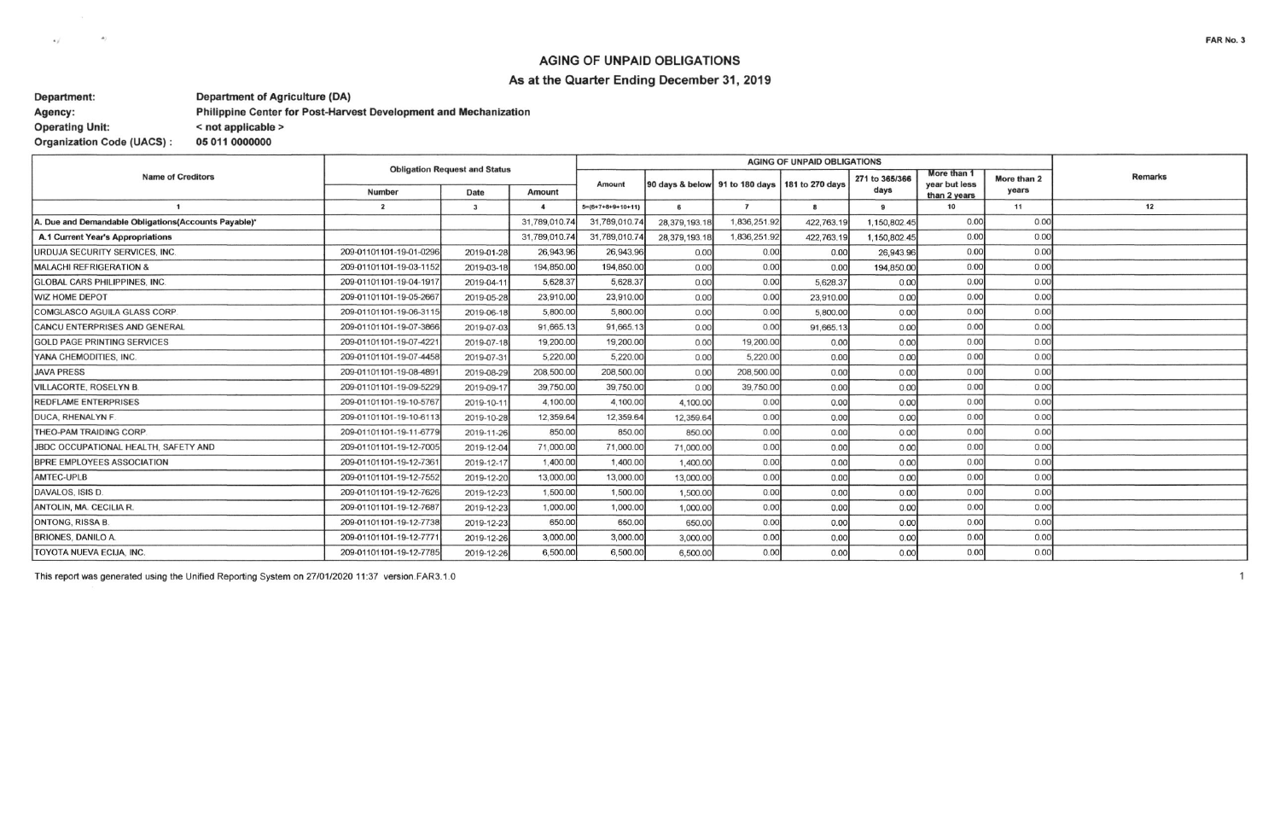## **AGING OF UNPAID OBLIGATIONS**

### As at the Quarter Ending December 31, 2019

### Department: **Department of Agriculture (DA)** Philippine Center for Post-Harvest Development and Mechanization Agency: **Operating Unit:** < not applicable > **Organization Code (UACS):** 05 011 0000000

 $\sim$ 

 $\langle \bullet \rangle$ 

| <b>Name of Creditors</b>                             | <b>Obligation Request and Status</b> |                         |                  |                     |                                |                |                 |                |                              |             |                |
|------------------------------------------------------|--------------------------------------|-------------------------|------------------|---------------------|--------------------------------|----------------|-----------------|----------------|------------------------------|-------------|----------------|
|                                                      |                                      |                         |                  | Amount              | 90 days & below 91 to 180 days |                | 181 to 270 days | 271 to 365/366 | More than 1<br>year but less | More than 2 | <b>Remarks</b> |
|                                                      | Number                               | <b>Date</b>             | Amount           |                     |                                |                |                 | days           | than 2 years                 | years       |                |
|                                                      | $\overline{2}$                       | $\overline{\mathbf{3}}$ | $\boldsymbol{A}$ | $5=(6+7+8+9+10+11)$ | 6                              | $\overline{7}$ | 8               | $\mathbf{a}$   | 10                           | 11          | 12             |
| A. Due and Demandable Obligations(Accounts Payable)* |                                      |                         | 31,789,010.74    | 31,789,010.74       | 28,379,193.18                  | 1,836,251.92   | 422,763.19      | 1,150,802.45   | 0.00                         | 0.00        |                |
| A.1 Current Year's Appropriations                    |                                      |                         | 31,789,010.74    | 31,789,010.74       | 28,379,193.18                  | 1,836,251.92   | 422,763.19      | 1,150,802.45   | 0.00                         | 0.00        |                |
| URDUJA SECURITY SERVICES, INC.                       | 209-01101101-19-01-0296              | 2019-01-28              | 26,943.96        | 26,943.96           | 0.00                           | 0.00           | 0.00            | 26,943.96      | 0.00                         | 0.00        |                |
| MALACHI REFRIGERATION &                              | 209-01101101-19-03-1152              | 2019-03-18              | 194,850.00       | 194,850.00          | 0.00                           | 0.00           | 0.00            | 194,850.00     | 0.00                         | 0.00        |                |
| <b>GLOBAL CARS PHILIPPINES, INC.</b>                 | 209-01101101-19-04-191               | 2019-04-11              | 5,628.37         | 5,628.37            | 0.00                           | 0.00           | 5,628.37        | 0.00           | 0.00                         | 0.00        |                |
| <b>WIZ HOME DEPOT</b>                                | 209-01101101-19-05-2667              | 2019-05-28              | 23,910.00        | 23,910.00           | 0.00                           | 0.00           | 23,910.00       | 0.00           | 0.00                         | 0.00        |                |
| COMGLASCO AGUILA GLASS CORP.                         | 209-01101101-19-06-3115              | 2019-06-18              | 5,800.00         | 5,800.00            | 0.00                           | 0.00           | 5,800.00        | 0.00           | 0.00                         | 0.00        |                |
| <b>CANCU ENTERPRISES AND GENERAL</b>                 | 209-01101101-19-07-3866              | 2019-07-03              | 91,665.13        | 91,665.13           | 0.00                           | 0.00           | 91,665.13       | 0.00           | 0.00                         | 0.00        |                |
| <b>GOLD PAGE PRINTING SERVICES</b>                   | 209-01101101-19-07-4221              | 2019-07-18              | 19,200.00        | 19,200.00           | 0.00                           | 19,200.00      | 0.00            | 0.00           | 0.00                         | 0.00        |                |
| YANA CHEMODITIES, INC.                               | 209-01101101-19-07-4458              | 2019-07-31              | 5,220.00         | 5,220.00            | 0.00                           | 5,220.00       | 0.00            | 0.00           | 0.00                         | 0.00        |                |
| <b>JAVA PRESS</b>                                    | 209-01101101-19-08-4891              | 2019-08-29              | 208,500.00       | 208,500.00          | 0.00                           | 208,500.00     | 0.00            | 0.00           | 0.00                         | 0.00        |                |
| <b>VILLACORTE, ROSELYN B.</b>                        | 209-01101101-19-09-5229              | 2019-09-11              | 39,750.00        | 39,750.00           | 0.00                           | 39,750.00      | 0.00            | 0.00           | 0.00                         | 0.00        |                |
| <b>REDFLAME ENTERPRISES</b>                          | 209-01101101-19-10-5767              | 2019-10-1               | 4,100.00         | 4,100.00            | 4,100.00                       | 0.00           | 0.00            | 0.00           | 0.00                         | 0.00        |                |
| <b>DUCA, RHENALYN F.</b>                             | 209-01101101-19-10-6113              | 2019-10-28              | 12,359.64        | 12,359.64           | 12,359.64                      | 0.00           | 0.00            | 0.00           | 0.00                         | 0.00        |                |
| THEO-PAM TRAIDING CORP.                              | 209-01101101-19-11-6779              | 2019-11-26              | 850.00           | 850.00              | 850.00                         | 0.00           | 0.00            | 0.00           | 0.00                         | 0.00        |                |
| JBDC OCCUPATIONAL HEALTH, SAFETY AND                 | 209-01101101-19-12-7005              | 2019-12-04              | 71,000.00        | 71,000.00           | 71,000.00                      | 0.00           | 0.00            | 0.00           | 0.00                         | 0.00        |                |
| <b>BPRE EMPLOYEES ASSOCIATION</b>                    | 209-01101101-19-12-7361              | 2019-12-17              | 1,400.00         | 1,400.00            | 1,400.00                       | 0.00           | 0.00            | 0.00           | 0.00                         | 0.00        |                |
| AMTEC-UPLB                                           | 209-01101101-19-12-7552              | 2019-12-20              | 13,000.00        | 13,000.00           | 13,000.00                      | 0.00           | 0.00            | 0.00           | 0.00                         | 0.00        |                |
| DAVALOS, ISIS D.                                     | 209-01101101-19-12-7626              | 2019-12-23              | 1,500.00         | 1,500.00            | 1,500.00                       | 0.00           | 0.00            | 0.00           | 0.00                         | 0.00        |                |
| ANTOLIN, MA. CECILIA R.                              | 209-01101101-19-12-7687              | 2019-12-23              | 1,000.00         | 1,000.00            | 1,000.00                       | 0.00           | 0.00            | 0.00           | 0.00                         | 0.00        |                |
| <b>ONTONG, RISSA B.</b>                              | 209-01101101-19-12-7738              | 2019-12-23              | 650.00           | 650.00              | 650.00                         | 0.00           | 0.00            | 0.00           | 0.00                         | 0.00        |                |
| <b>BRIONES, DANILO A.</b>                            | 209-01101101-19-12-777               | 2019-12-26              | 3,000.00         | 3,000.00            | 3,000.00                       | 0.00           | 0.00            | 0.00           | 0.00                         | 0.00        |                |
| <b>TOYOTA NUEVA ECIJA, INC.</b>                      | 209-01101101-19-12-7785              | 2019-12-26              | 6,500.00         | 6,500.00            | 6,500.00                       | 0.00           | 0.00            | 0.00           | 0.00                         | 0.00        |                |

This report was generated using the Unified Reporting System on 27/01/2020 11:37 version.FAR3.1.0

 $\mathbf{1}$